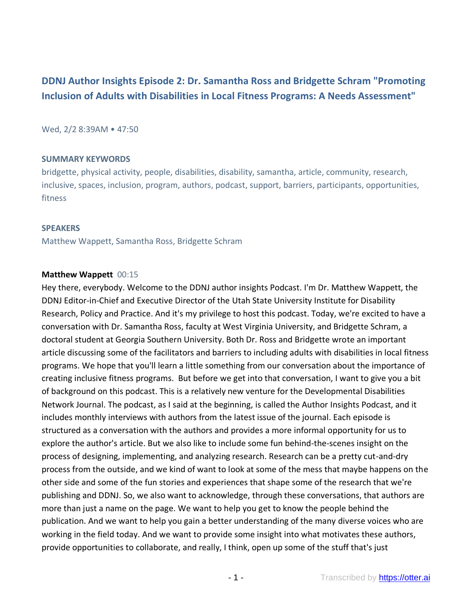# **DDNJ Author Insights Episode 2: Dr. Samantha Ross and Bridgette Schram "Promoting Inclusion of Adults with Disabilities in Local Fitness Programs: A Needs Assessment"**

Wed, 2/2 8:39AM • 47:50

#### **SUMMARY KEYWORDS**

bridgette, physical activity, people, disabilities, disability, samantha, article, community, research, inclusive, spaces, inclusion, program, authors, podcast, support, barriers, participants, opportunities, fitness

#### **SPEAKERS**

Matthew Wappett, Samantha Ross, Bridgette Schram

### **Matthew Wappett** 00:15

Hey there, everybody. Welcome to the DDNJ author insights Podcast. I'm Dr. Matthew Wappett, the DDNJ Editor-in-Chief and Executive Director of the Utah State University Institute for Disability Research, Policy and Practice. And it's my privilege to host this podcast. Today, we're excited to have a conversation with Dr. Samantha Ross, faculty at West Virginia University, and Bridgette Schram, a doctoral student at Georgia Southern University. Both Dr. Ross and Bridgette wrote an important article discussing some of the facilitators and barriers to including adults with disabilities in local fitness programs. We hope that you'll learn a little something from our conversation about the importance of creating inclusive fitness programs. But before we get into that conversation, I want to give you a bit of background on this podcast. This is a relatively new venture for the Developmental Disabilities Network Journal. The podcast, as I said at the beginning, is called the Author Insights Podcast, and it includes monthly interviews with authors from the latest issue of the journal. Each episode is structured as a conversation with the authors and provides a more informal opportunity for us to explore the author's article. But we also like to include some fun behind-the-scenes insight on the process of designing, implementing, and analyzing research. Research can be a pretty cut-and-dry process from the outside, and we kind of want to look at some of the mess that maybe happens on the other side and some of the fun stories and experiences that shape some of the research that we're publishing and DDNJ. So, we also want to acknowledge, through these conversations, that authors are more than just a name on the page. We want to help you get to know the people behind the publication. And we want to help you gain a better understanding of the many diverse voices who are working in the field today. And we want to provide some insight into what motivates these authors, provide opportunities to collaborate, and really, I think, open up some of the stuff that's just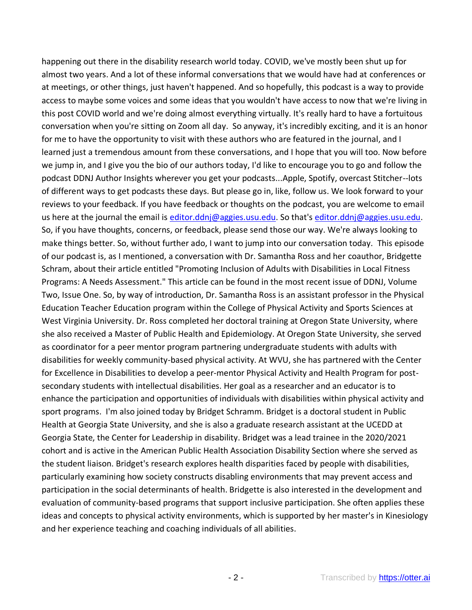happening out there in the disability research world today. COVID, we've mostly been shut up for almost two years. And a lot of these informal conversations that we would have had at conferences or at meetings, or other things, just haven't happened. And so hopefully, this podcast is a way to provide access to maybe some voices and some ideas that you wouldn't have access to now that we're living in this post COVID world and we're doing almost everything virtually. It's really hard to have a fortuitous conversation when you're sitting on Zoom all day. So anyway, it's incredibly exciting, and it is an honor for me to have the opportunity to visit with these authors who are featured in the journal, and I learned just a tremendous amount from these conversations, and I hope that you will too. Now before we jump in, and I give you the bio of our authors today, I'd like to encourage you to go and follow the podcast DDNJ Author Insights wherever you get your podcasts...Apple, Spotify, overcast Stitcher--lots of different ways to get podcasts these days. But please go in, like, follow us. We look forward to your reviews to your feedback. If you have feedback or thoughts on the podcast, you are welcome to email us here at the journal the email is [editor.ddnj@aggies.usu.edu.](mailto:editor.ddnj@aggies.usu.edu) So that's editor.ddnj@aggies.usu.edu. So, if you have thoughts, concerns, or feedback, please send those our way. We're always looking to make things better. So, without further ado, I want to jump into our conversation today. This episode of our podcast is, as I mentioned, a conversation with Dr. Samantha Ross and her coauthor, Bridgette Schram, about their article entitled "Promoting Inclusion of Adults with Disabilities in Local Fitness Programs: A Needs Assessment." This article can be found in the most recent issue of DDNJ, Volume Two, Issue One. So, by way of introduction, Dr. Samantha Ross is an assistant professor in the Physical Education Teacher Education program within the College of Physical Activity and Sports Sciences at West Virginia University. Dr. Ross completed her doctoral training at Oregon State University, where she also received a Master of Public Health and Epidemiology. At Oregon State University, she served as coordinator for a peer mentor program partnering undergraduate students with adults with disabilities for weekly community-based physical activity. At WVU, she has partnered with the Center for Excellence in Disabilities to develop a peer-mentor Physical Activity and Health Program for postsecondary students with intellectual disabilities. Her goal as a researcher and an educator is to enhance the participation and opportunities of individuals with disabilities within physical activity and sport programs. I'm also joined today by Bridget Schramm. Bridget is a doctoral student in Public Health at Georgia State University, and she is also a graduate research assistant at the UCEDD at Georgia State, the Center for Leadership in disability. Bridget was a lead trainee in the 2020/2021 cohort and is active in the American Public Health Association Disability Section where she served as the student liaison. Bridget's research explores health disparities faced by people with disabilities, particularly examining how society constructs disabling environments that may prevent access and participation in the social determinants of health. Bridgette is also interested in the development and evaluation of community-based programs that support inclusive participation. She often applies these ideas and concepts to physical activity environments, which is supported by her master's in Kinesiology and her experience teaching and coaching individuals of all abilities.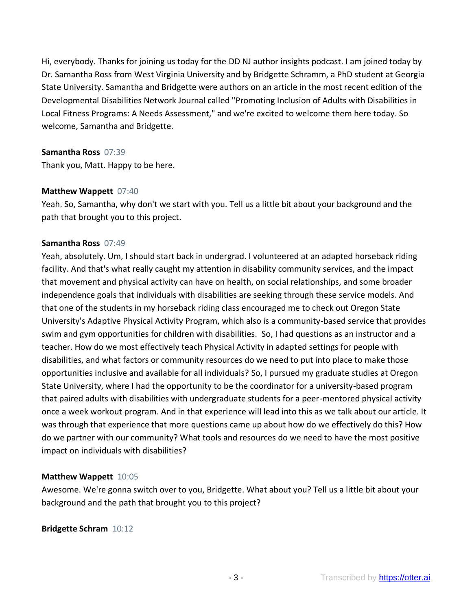Hi, everybody. Thanks for joining us today for the DD NJ author insights podcast. I am joined today by Dr. Samantha Ross from West Virginia University and by Bridgette Schramm, a PhD student at Georgia State University. Samantha and Bridgette were authors on an article in the most recent edition of the Developmental Disabilities Network Journal called "Promoting Inclusion of Adults with Disabilities in Local Fitness Programs: A Needs Assessment," and we're excited to welcome them here today. So welcome, Samantha and Bridgette.

#### **Samantha Ross** 07:39

Thank you, Matt. Happy to be here.

### **Matthew Wappett** 07:40

Yeah. So, Samantha, why don't we start with you. Tell us a little bit about your background and the path that brought you to this project.

#### **Samantha Ross** 07:49

Yeah, absolutely. Um, I should start back in undergrad. I volunteered at an adapted horseback riding facility. And that's what really caught my attention in disability community services, and the impact that movement and physical activity can have on health, on social relationships, and some broader independence goals that individuals with disabilities are seeking through these service models. And that one of the students in my horseback riding class encouraged me to check out Oregon State University's Adaptive Physical Activity Program, which also is a community-based service that provides swim and gym opportunities for children with disabilities. So, I had questions as an instructor and a teacher. How do we most effectively teach Physical Activity in adapted settings for people with disabilities, and what factors or community resources do we need to put into place to make those opportunities inclusive and available for all individuals? So, I pursued my graduate studies at Oregon State University, where I had the opportunity to be the coordinator for a university-based program that paired adults with disabilities with undergraduate students for a peer-mentored physical activity once a week workout program. And in that experience will lead into this as we talk about our article. It was through that experience that more questions came up about how do we effectively do this? How do we partner with our community? What tools and resources do we need to have the most positive impact on individuals with disabilities?

### **Matthew Wappett** 10:05

Awesome. We're gonna switch over to you, Bridgette. What about you? Tell us a little bit about your background and the path that brought you to this project?

### **Bridgette Schram** 10:12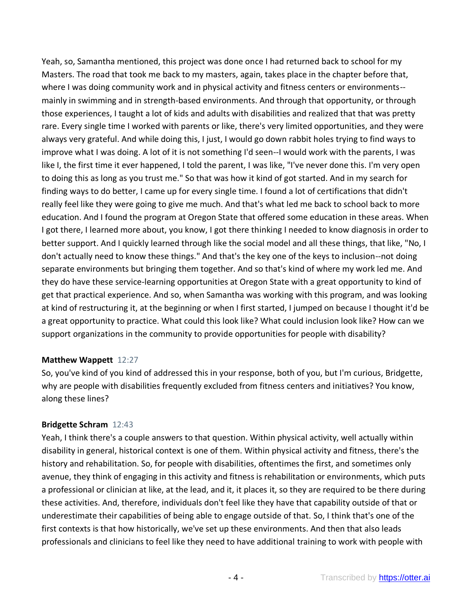Yeah, so, Samantha mentioned, this project was done once I had returned back to school for my Masters. The road that took me back to my masters, again, takes place in the chapter before that, where I was doing community work and in physical activity and fitness centers or environments- mainly in swimming and in strength-based environments. And through that opportunity, or through those experiences, I taught a lot of kids and adults with disabilities and realized that that was pretty rare. Every single time I worked with parents or like, there's very limited opportunities, and they were always very grateful. And while doing this, I just, I would go down rabbit holes trying to find ways to improve what I was doing. A lot of it is not something I'd seen--I would work with the parents, I was like I, the first time it ever happened, I told the parent, I was like, "I've never done this. I'm very open to doing this as long as you trust me." So that was how it kind of got started. And in my search for finding ways to do better, I came up for every single time. I found a lot of certifications that didn't really feel like they were going to give me much. And that's what led me back to school back to more education. And I found the program at Oregon State that offered some education in these areas. When I got there, I learned more about, you know, I got there thinking I needed to know diagnosis in order to better support. And I quickly learned through like the social model and all these things, that like, "No, I don't actually need to know these things." And that's the key one of the keys to inclusion--not doing separate environments but bringing them together. And so that's kind of where my work led me. And they do have these service-learning opportunities at Oregon State with a great opportunity to kind of get that practical experience. And so, when Samantha was working with this program, and was looking at kind of restructuring it, at the beginning or when I first started, I jumped on because I thought it'd be a great opportunity to practice. What could this look like? What could inclusion look like? How can we support organizations in the community to provide opportunities for people with disability?

### **Matthew Wappett** 12:27

So, you've kind of you kind of addressed this in your response, both of you, but I'm curious, Bridgette, why are people with disabilities frequently excluded from fitness centers and initiatives? You know, along these lines?

# **Bridgette Schram** 12:43

Yeah, I think there's a couple answers to that question. Within physical activity, well actually within disability in general, historical context is one of them. Within physical activity and fitness, there's the history and rehabilitation. So, for people with disabilities, oftentimes the first, and sometimes only avenue, they think of engaging in this activity and fitness is rehabilitation or environments, which puts a professional or clinician at like, at the lead, and it, it places it, so they are required to be there during these activities. And, therefore, individuals don't feel like they have that capability outside of that or underestimate their capabilities of being able to engage outside of that. So, I think that's one of the first contexts is that how historically, we've set up these environments. And then that also leads professionals and clinicians to feel like they need to have additional training to work with people with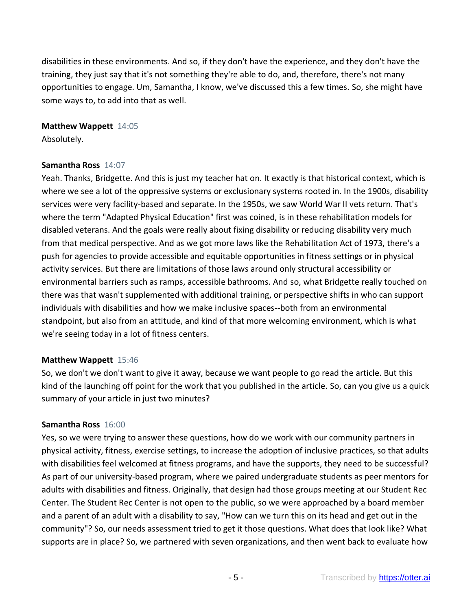disabilities in these environments. And so, if they don't have the experience, and they don't have the training, they just say that it's not something they're able to do, and, therefore, there's not many opportunities to engage. Um, Samantha, I know, we've discussed this a few times. So, she might have some ways to, to add into that as well.

### **Matthew Wappett** 14:05

Absolutely.

#### **Samantha Ross** 14:07

Yeah. Thanks, Bridgette. And this is just my teacher hat on. It exactly is that historical context, which is where we see a lot of the oppressive systems or exclusionary systems rooted in. In the 1900s, disability services were very facility-based and separate. In the 1950s, we saw World War II vets return. That's where the term "Adapted Physical Education" first was coined, is in these rehabilitation models for disabled veterans. And the goals were really about fixing disability or reducing disability very much from that medical perspective. And as we got more laws like the Rehabilitation Act of 1973, there's a push for agencies to provide accessible and equitable opportunities in fitness settings or in physical activity services. But there are limitations of those laws around only structural accessibility or environmental barriers such as ramps, accessible bathrooms. And so, what Bridgette really touched on there was that wasn't supplemented with additional training, or perspective shifts in who can support individuals with disabilities and how we make inclusive spaces--both from an environmental standpoint, but also from an attitude, and kind of that more welcoming environment, which is what we're seeing today in a lot of fitness centers.

### **Matthew Wappett** 15:46

So, we don't we don't want to give it away, because we want people to go read the article. But this kind of the launching off point for the work that you published in the article. So, can you give us a quick summary of your article in just two minutes?

### **Samantha Ross** 16:00

Yes, so we were trying to answer these questions, how do we work with our community partners in physical activity, fitness, exercise settings, to increase the adoption of inclusive practices, so that adults with disabilities feel welcomed at fitness programs, and have the supports, they need to be successful? As part of our university-based program, where we paired undergraduate students as peer mentors for adults with disabilities and fitness. Originally, that design had those groups meeting at our Student Rec Center. The Student Rec Center is not open to the public, so we were approached by a board member and a parent of an adult with a disability to say, "How can we turn this on its head and get out in the community"? So, our needs assessment tried to get it those questions. What does that look like? What supports are in place? So, we partnered with seven organizations, and then went back to evaluate how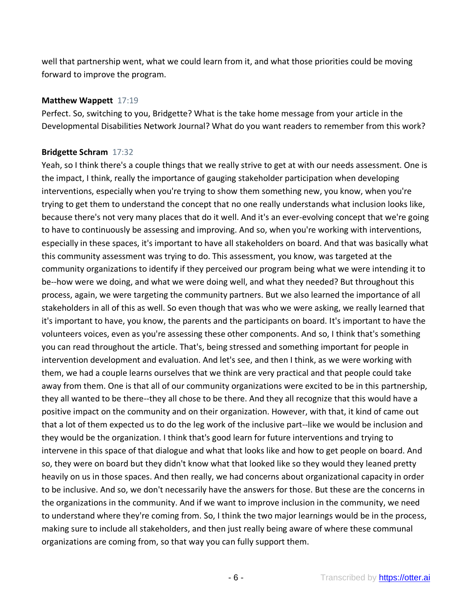well that partnership went, what we could learn from it, and what those priorities could be moving forward to improve the program.

#### **Matthew Wappett** 17:19

Perfect. So, switching to you, Bridgette? What is the take home message from your article in the Developmental Disabilities Network Journal? What do you want readers to remember from this work?

### **Bridgette Schram** 17:32

Yeah, so I think there's a couple things that we really strive to get at with our needs assessment. One is the impact, I think, really the importance of gauging stakeholder participation when developing interventions, especially when you're trying to show them something new, you know, when you're trying to get them to understand the concept that no one really understands what inclusion looks like, because there's not very many places that do it well. And it's an ever-evolving concept that we're going to have to continuously be assessing and improving. And so, when you're working with interventions, especially in these spaces, it's important to have all stakeholders on board. And that was basically what this community assessment was trying to do. This assessment, you know, was targeted at the community organizations to identify if they perceived our program being what we were intending it to be--how were we doing, and what we were doing well, and what they needed? But throughout this process, again, we were targeting the community partners. But we also learned the importance of all stakeholders in all of this as well. So even though that was who we were asking, we really learned that it's important to have, you know, the parents and the participants on board. It's important to have the volunteers voices, even as you're assessing these other components. And so, I think that's something you can read throughout the article. That's, being stressed and something important for people in intervention development and evaluation. And let's see, and then I think, as we were working with them, we had a couple learns ourselves that we think are very practical and that people could take away from them. One is that all of our community organizations were excited to be in this partnership, they all wanted to be there--they all chose to be there. And they all recognize that this would have a positive impact on the community and on their organization. However, with that, it kind of came out that a lot of them expected us to do the leg work of the inclusive part--like we would be inclusion and they would be the organization. I think that's good learn for future interventions and trying to intervene in this space of that dialogue and what that looks like and how to get people on board. And so, they were on board but they didn't know what that looked like so they would they leaned pretty heavily on us in those spaces. And then really, we had concerns about organizational capacity in order to be inclusive. And so, we don't necessarily have the answers for those. But these are the concerns in the organizations in the community. And if we want to improve inclusion in the community, we need to understand where they're coming from. So, I think the two major learnings would be in the process, making sure to include all stakeholders, and then just really being aware of where these communal organizations are coming from, so that way you can fully support them.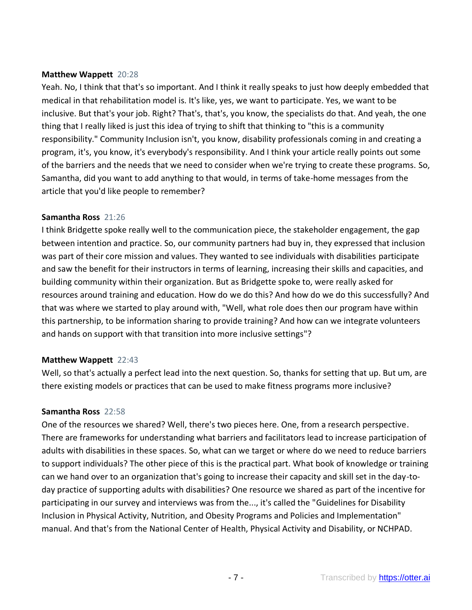### **Matthew Wappett** 20:28

Yeah. No, I think that that's so important. And I think it really speaks to just how deeply embedded that medical in that rehabilitation model is. It's like, yes, we want to participate. Yes, we want to be inclusive. But that's your job. Right? That's, that's, you know, the specialists do that. And yeah, the one thing that I really liked is just this idea of trying to shift that thinking to "this is a community responsibility." Community Inclusion isn't, you know, disability professionals coming in and creating a program, it's, you know, it's everybody's responsibility. And I think your article really points out some of the barriers and the needs that we need to consider when we're trying to create these programs. So, Samantha, did you want to add anything to that would, in terms of take-home messages from the article that you'd like people to remember?

### **Samantha Ross** 21:26

I think Bridgette spoke really well to the communication piece, the stakeholder engagement, the gap between intention and practice. So, our community partners had buy in, they expressed that inclusion was part of their core mission and values. They wanted to see individuals with disabilities participate and saw the benefit for their instructors in terms of learning, increasing their skills and capacities, and building community within their organization. But as Bridgette spoke to, were really asked for resources around training and education. How do we do this? And how do we do this successfully? And that was where we started to play around with, "Well, what role does then our program have within this partnership, to be information sharing to provide training? And how can we integrate volunteers and hands on support with that transition into more inclusive settings"?

# **Matthew Wappett** 22:43

Well, so that's actually a perfect lead into the next question. So, thanks for setting that up. But um, are there existing models or practices that can be used to make fitness programs more inclusive?

# **Samantha Ross** 22:58

One of the resources we shared? Well, there's two pieces here. One, from a research perspective. There are frameworks for understanding what barriers and facilitators lead to increase participation of adults with disabilities in these spaces. So, what can we target or where do we need to reduce barriers to support individuals? The other piece of this is the practical part. What book of knowledge or training can we hand over to an organization that's going to increase their capacity and skill set in the day-today practice of supporting adults with disabilities? One resource we shared as part of the incentive for participating in our survey and interviews was from the..., it's called the "Guidelines for Disability Inclusion in Physical Activity, Nutrition, and Obesity Programs and Policies and Implementation" manual. And that's from the National Center of Health, Physical Activity and Disability, or NCHPAD.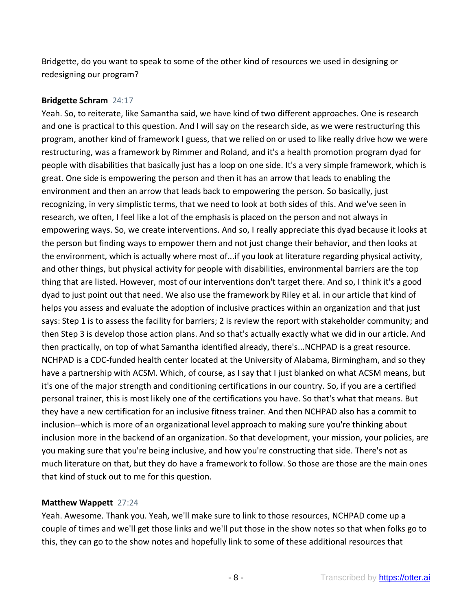Bridgette, do you want to speak to some of the other kind of resources we used in designing or redesigning our program?

### **Bridgette Schram** 24:17

Yeah. So, to reiterate, like Samantha said, we have kind of two different approaches. One is research and one is practical to this question. And I will say on the research side, as we were restructuring this program, another kind of framework I guess, that we relied on or used to like really drive how we were restructuring, was a framework by Rimmer and Roland, and it's a health promotion program dyad for people with disabilities that basically just has a loop on one side. It's a very simple framework, which is great. One side is empowering the person and then it has an arrow that leads to enabling the environment and then an arrow that leads back to empowering the person. So basically, just recognizing, in very simplistic terms, that we need to look at both sides of this. And we've seen in research, we often, I feel like a lot of the emphasis is placed on the person and not always in empowering ways. So, we create interventions. And so, I really appreciate this dyad because it looks at the person but finding ways to empower them and not just change their behavior, and then looks at the environment, which is actually where most of...if you look at literature regarding physical activity, and other things, but physical activity for people with disabilities, environmental barriers are the top thing that are listed. However, most of our interventions don't target there. And so, I think it's a good dyad to just point out that need. We also use the framework by Riley et al. in our article that kind of helps you assess and evaluate the adoption of inclusive practices within an organization and that just says: Step 1 is to assess the facility for barriers; 2 is review the report with stakeholder community; and then Step 3 is develop those action plans. And so that's actually exactly what we did in our article. And then practically, on top of what Samantha identified already, there's...NCHPAD is a great resource. NCHPAD is a CDC-funded health center located at the University of Alabama, Birmingham, and so they have a partnership with ACSM. Which, of course, as I say that I just blanked on what ACSM means, but it's one of the major strength and conditioning certifications in our country. So, if you are a certified personal trainer, this is most likely one of the certifications you have. So that's what that means. But they have a new certification for an inclusive fitness trainer. And then NCHPAD also has a commit to inclusion--which is more of an organizational level approach to making sure you're thinking about inclusion more in the backend of an organization. So that development, your mission, your policies, are you making sure that you're being inclusive, and how you're constructing that side. There's not as much literature on that, but they do have a framework to follow. So those are those are the main ones that kind of stuck out to me for this question.

# **Matthew Wappett** 27:24

Yeah. Awesome. Thank you. Yeah, we'll make sure to link to those resources, NCHPAD come up a couple of times and we'll get those links and we'll put those in the show notes so that when folks go to this, they can go to the show notes and hopefully link to some of these additional resources that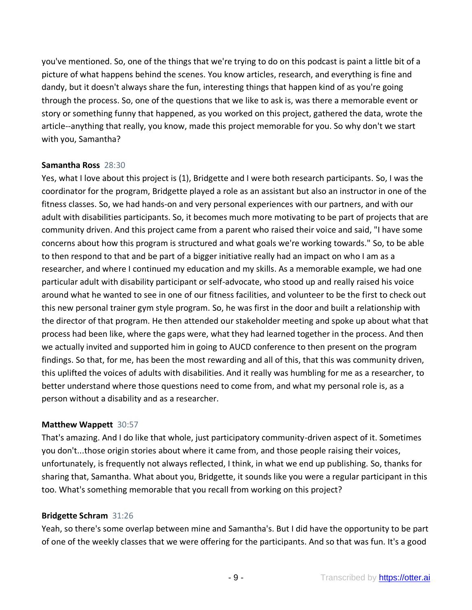you've mentioned. So, one of the things that we're trying to do on this podcast is paint a little bit of a picture of what happens behind the scenes. You know articles, research, and everything is fine and dandy, but it doesn't always share the fun, interesting things that happen kind of as you're going through the process. So, one of the questions that we like to ask is, was there a memorable event or story or something funny that happened, as you worked on this project, gathered the data, wrote the article--anything that really, you know, made this project memorable for you. So why don't we start with you, Samantha?

### **Samantha Ross** 28:30

Yes, what I love about this project is (1), Bridgette and I were both research participants. So, I was the coordinator for the program, Bridgette played a role as an assistant but also an instructor in one of the fitness classes. So, we had hands-on and very personal experiences with our partners, and with our adult with disabilities participants. So, it becomes much more motivating to be part of projects that are community driven. And this project came from a parent who raised their voice and said, "I have some concerns about how this program is structured and what goals we're working towards." So, to be able to then respond to that and be part of a bigger initiative really had an impact on who I am as a researcher, and where I continued my education and my skills. As a memorable example, we had one particular adult with disability participant or self-advocate, who stood up and really raised his voice around what he wanted to see in one of our fitness facilities, and volunteer to be the first to check out this new personal trainer gym style program. So, he was first in the door and built a relationship with the director of that program. He then attended our stakeholder meeting and spoke up about what that process had been like, where the gaps were, what they had learned together in the process. And then we actually invited and supported him in going to AUCD conference to then present on the program findings. So that, for me, has been the most rewarding and all of this, that this was community driven, this uplifted the voices of adults with disabilities. And it really was humbling for me as a researcher, to better understand where those questions need to come from, and what my personal role is, as a person without a disability and as a researcher.

### **Matthew Wappett** 30:57

That's amazing. And I do like that whole, just participatory community-driven aspect of it. Sometimes you don't...those origin stories about where it came from, and those people raising their voices, unfortunately, is frequently not always reflected, I think, in what we end up publishing. So, thanks for sharing that, Samantha. What about you, Bridgette, it sounds like you were a regular participant in this too. What's something memorable that you recall from working on this project?

### **Bridgette Schram** 31:26

Yeah, so there's some overlap between mine and Samantha's. But I did have the opportunity to be part of one of the weekly classes that we were offering for the participants. And so that was fun. It's a good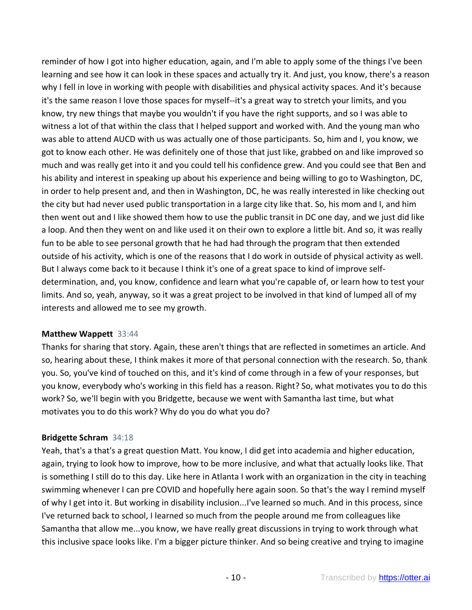reminder of how I got into higher education, again, and I'm able to apply some of the things I've been learning and see how it can look in these spaces and actually try it. And just, you know, there's a reason why I fell in love in working with people with disabilities and physical activity spaces. And it's because it's the same reason I love those spaces for myself--it's a great way to stretch your limits, and you know, try new things that maybe you wouldn't if you have the right supports, and so I was able to witness a lot of that within the class that I helped support and worked with. And the young man who was able to attend AUCD with us was actually one of those participants. So, him and I, you know, we got to know each other. He was definitely one of those that just like, grabbed on and like improved so much and was really get into it and you could tell his confidence grew. And you could see that Ben and his ability and interest in speaking up about his experience and being willing to go to Washington, DC, in order to help present and, and then in Washington, DC, he was really interested in like checking out the city but had never used public transportation in a large city like that. So, his mom and I, and him then went out and I like showed them how to use the public transit in DC one day, and we just did like a loop. And then they went on and like used it on their own to explore a little bit. And so, it was really fun to be able to see personal growth that he had had through the program that then extended outside of his activity, which is one of the reasons that I do work in outside of physical activity as well. But I always come back to it because I think it's one of a great space to kind of improve selfdetermination, and, you know, confidence and learn what you're capable of, or learn how to test your limits. And so, yeah, anyway, so it was a great project to be involved in that kind of lumped all of my interests and allowed me to see my growth.

# **Matthew Wappett** 33:44

Thanks for sharing that story. Again, these aren't things that are reflected in sometimes an article. And so, hearing about these, I think makes it more of that personal connection with the research. So, thank you. So, you've kind of touched on this, and it's kind of come through in a few of your responses, but you know, everybody who's working in this field has a reason. Right? So, what motivates you to do this work? So, we'll begin with you Bridgette, because we went with Samantha last time, but what motivates you to do this work? Why do you do what you do?

# **Bridgette Schram** 34:18

Yeah, that's a that's a great question Matt. You know, I did get into academia and higher education, again, trying to look how to improve, how to be more inclusive, and what that actually looks like. That is something I still do to this day. Like here in Atlanta I work with an organization in the city in teaching swimming whenever I can pre COVID and hopefully here again soon. So that's the way I remind myself of why I get into it. But working in disability inclusion...I've learned so much. And in this process, since I've returned back to school, I learned so much from the people around me from colleagues like Samantha that allow me...you know, we have really great discussions in trying to work through what this inclusive space looks like. I'm a bigger picture thinker. And so being creative and trying to imagine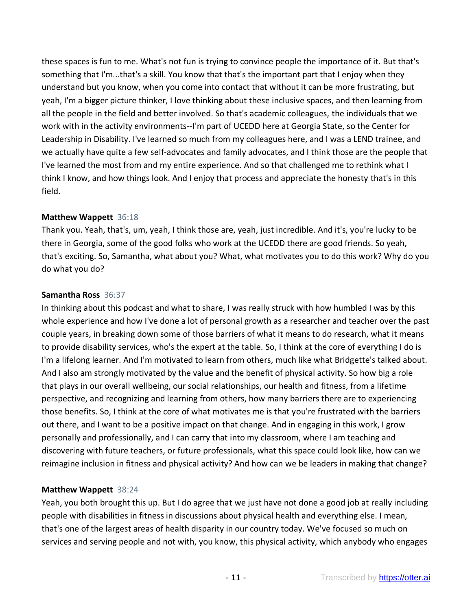these spaces is fun to me. What's not fun is trying to convince people the importance of it. But that's something that I'm...that's a skill. You know that that's the important part that I enjoy when they understand but you know, when you come into contact that without it can be more frustrating, but yeah, I'm a bigger picture thinker, I love thinking about these inclusive spaces, and then learning from all the people in the field and better involved. So that's academic colleagues, the individuals that we work with in the activity environments--I'm part of UCEDD here at Georgia State, so the Center for Leadership in Disability. I've learned so much from my colleagues here, and I was a LEND trainee, and we actually have quite a few self-advocates and family advocates, and I think those are the people that I've learned the most from and my entire experience. And so that challenged me to rethink what I think I know, and how things look. And I enjoy that process and appreciate the honesty that's in this field.

### **Matthew Wappett** 36:18

Thank you. Yeah, that's, um, yeah, I think those are, yeah, just incredible. And it's, you're lucky to be there in Georgia, some of the good folks who work at the UCEDD there are good friends. So yeah, that's exciting. So, Samantha, what about you? What, what motivates you to do this work? Why do you do what you do?

### **Samantha Ross** 36:37

In thinking about this podcast and what to share, I was really struck with how humbled I was by this whole experience and how I've done a lot of personal growth as a researcher and teacher over the past couple years, in breaking down some of those barriers of what it means to do research, what it means to provide disability services, who's the expert at the table. So, I think at the core of everything I do is I'm a lifelong learner. And I'm motivated to learn from others, much like what Bridgette's talked about. And I also am strongly motivated by the value and the benefit of physical activity. So how big a role that plays in our overall wellbeing, our social relationships, our health and fitness, from a lifetime perspective, and recognizing and learning from others, how many barriers there are to experiencing those benefits. So, I think at the core of what motivates me is that you're frustrated with the barriers out there, and I want to be a positive impact on that change. And in engaging in this work, I grow personally and professionally, and I can carry that into my classroom, where I am teaching and discovering with future teachers, or future professionals, what this space could look like, how can we reimagine inclusion in fitness and physical activity? And how can we be leaders in making that change?

# **Matthew Wappett** 38:24

Yeah, you both brought this up. But I do agree that we just have not done a good job at really including people with disabilities in fitness in discussions about physical health and everything else. I mean, that's one of the largest areas of health disparity in our country today. We've focused so much on services and serving people and not with, you know, this physical activity, which anybody who engages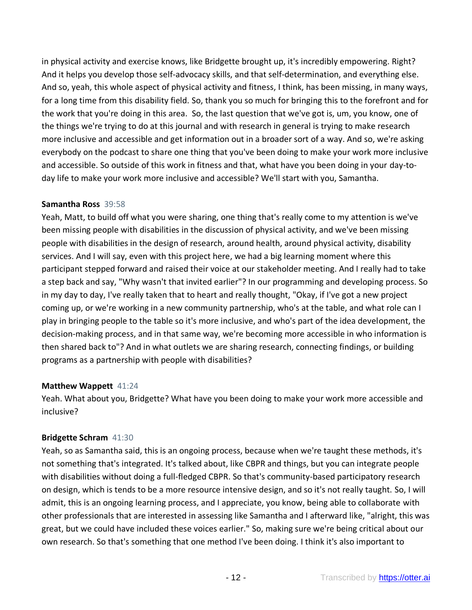in physical activity and exercise knows, like Bridgette brought up, it's incredibly empowering. Right? And it helps you develop those self-advocacy skills, and that self-determination, and everything else. And so, yeah, this whole aspect of physical activity and fitness, I think, has been missing, in many ways, for a long time from this disability field. So, thank you so much for bringing this to the forefront and for the work that you're doing in this area. So, the last question that we've got is, um, you know, one of the things we're trying to do at this journal and with research in general is trying to make research more inclusive and accessible and get information out in a broader sort of a way. And so, we're asking everybody on the podcast to share one thing that you've been doing to make your work more inclusive and accessible. So outside of this work in fitness and that, what have you been doing in your day-today life to make your work more inclusive and accessible? We'll start with you, Samantha.

### **Samantha Ross** 39:58

Yeah, Matt, to build off what you were sharing, one thing that's really come to my attention is we've been missing people with disabilities in the discussion of physical activity, and we've been missing people with disabilities in the design of research, around health, around physical activity, disability services. And I will say, even with this project here, we had a big learning moment where this participant stepped forward and raised their voice at our stakeholder meeting. And I really had to take a step back and say, "Why wasn't that invited earlier"? In our programming and developing process. So in my day to day, I've really taken that to heart and really thought, "Okay, if I've got a new project coming up, or we're working in a new community partnership, who's at the table, and what role can I play in bringing people to the table so it's more inclusive, and who's part of the idea development, the decision-making process, and in that same way, we're becoming more accessible in who information is then shared back to"? And in what outlets we are sharing research, connecting findings, or building programs as a partnership with people with disabilities?

# **Matthew Wappett** 41:24

Yeah. What about you, Bridgette? What have you been doing to make your work more accessible and inclusive?

# **Bridgette Schram** 41:30

Yeah, so as Samantha said, this is an ongoing process, because when we're taught these methods, it's not something that's integrated. It's talked about, like CBPR and things, but you can integrate people with disabilities without doing a full-fledged CBPR. So that's community-based participatory research on design, which is tends to be a more resource intensive design, and so it's not really taught. So, I will admit, this is an ongoing learning process, and I appreciate, you know, being able to collaborate with other professionals that are interested in assessing like Samantha and I afterward like, "alright, this was great, but we could have included these voices earlier." So, making sure we're being critical about our own research. So that's something that one method I've been doing. I think it's also important to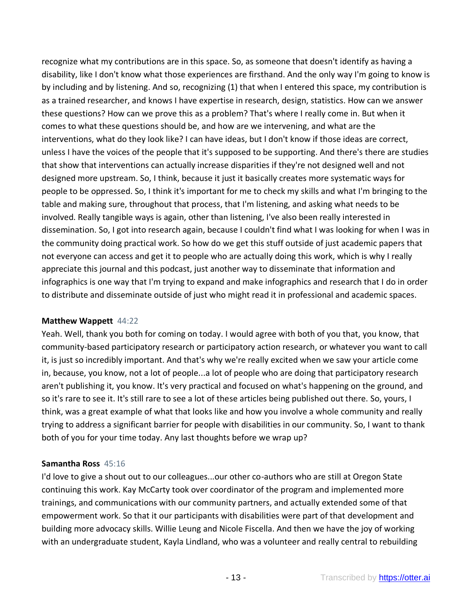recognize what my contributions are in this space. So, as someone that doesn't identify as having a disability, like I don't know what those experiences are firsthand. And the only way I'm going to know is by including and by listening. And so, recognizing (1) that when I entered this space, my contribution is as a trained researcher, and knows I have expertise in research, design, statistics. How can we answer these questions? How can we prove this as a problem? That's where I really come in. But when it comes to what these questions should be, and how are we intervening, and what are the interventions, what do they look like? I can have ideas, but I don't know if those ideas are correct, unless I have the voices of the people that it's supposed to be supporting. And there's there are studies that show that interventions can actually increase disparities if they're not designed well and not designed more upstream. So, I think, because it just it basically creates more systematic ways for people to be oppressed. So, I think it's important for me to check my skills and what I'm bringing to the table and making sure, throughout that process, that I'm listening, and asking what needs to be involved. Really tangible ways is again, other than listening, I've also been really interested in dissemination. So, I got into research again, because I couldn't find what I was looking for when I was in the community doing practical work. So how do we get this stuff outside of just academic papers that not everyone can access and get it to people who are actually doing this work, which is why I really appreciate this journal and this podcast, just another way to disseminate that information and infographics is one way that I'm trying to expand and make infographics and research that I do in order to distribute and disseminate outside of just who might read it in professional and academic spaces.

### **Matthew Wappett** 44:22

Yeah. Well, thank you both for coming on today. I would agree with both of you that, you know, that community-based participatory research or participatory action research, or whatever you want to call it, is just so incredibly important. And that's why we're really excited when we saw your article come in, because, you know, not a lot of people...a lot of people who are doing that participatory research aren't publishing it, you know. It's very practical and focused on what's happening on the ground, and so it's rare to see it. It's still rare to see a lot of these articles being published out there. So, yours, I think, was a great example of what that looks like and how you involve a whole community and really trying to address a significant barrier for people with disabilities in our community. So, I want to thank both of you for your time today. Any last thoughts before we wrap up?

# **Samantha Ross** 45:16

I'd love to give a shout out to our colleagues...our other co-authors who are still at Oregon State continuing this work. Kay McCarty took over coordinator of the program and implemented more trainings, and communications with our community partners, and actually extended some of that empowerment work. So that it our participants with disabilities were part of that development and building more advocacy skills. Willie Leung and Nicole Fiscella. And then we have the joy of working with an undergraduate student, Kayla Lindland, who was a volunteer and really central to rebuilding